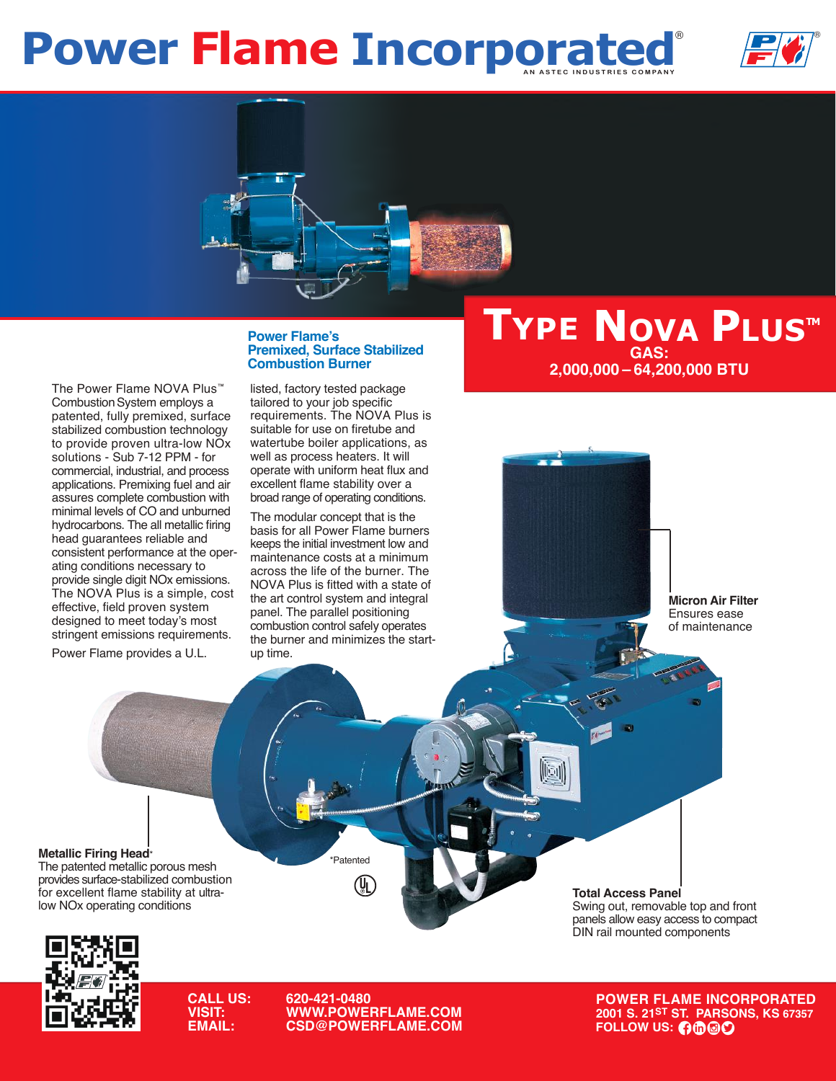# **Power Flame Incorporated**





The Power Flame NOVA Plus™ Combustion System employs a patented, fully premixed, surface stabilized combustion technology to provide proven ultra-low NOx solutions - Sub 7-12 PPM - for commercial, industrial, and process applications. Premixing fuel and air assures complete combustion with minimal levels of CO and unburned hydrocarbons. The all metallic firing head guarantees reliable and consistent performance at the operating conditions necessary to provide single digit NOx emissions. The NOVA Plus is a simple, cost effective, field proven system designed to meet today's most stringent emissions requirements.

Power Flame provides a U.L.

### **Power Flame's Premixed, Surface Stabilized Combustion Burner**

listed, factory tested package tailored to your job specific requirements. The NOVA Plus is suitable for use on firetube and watertube boiler applications, as well as process heaters. It will operate with uniform heat flux and excellent flame stability over a broad range of operating conditions.

The modular concept that is the basis for all Power Flame burners keeps the initial investment low and maintenance costs at a minimum across the life of the burner. The NOVA Plus is fitted with a state of the art control system and integral panel. The parallel positioning combustion control safely operates the burner and minimizes the startup time.

## **TYPE NOVA PLUS™ GAS: 2,000,000 – 64,200,000 BTU**

**Micron Air Filter** Ensures ease of maintenance

#### **Metallic Firing Head**\*

The patented metallic porous mesh provides surface-stabilized combustion for excellent flame stability at ultralow NOx operating conditions

**Total Access Panel** Swing out, removable top and front

panels allow easy access to compact DIN rail mounted components



**CALL US: 620-421-0480 VISIT: WWW.POWERFLAME.COM EXPAIL: COMAIL: COMAIL: COMAIL: COMAIL: COMAIL: COMAIL: COMAIL: COMAIL: COMAIL: COMAIL: COMAIL: COMAIL: COMAIL: COMAI** 

\*Patented

(VL)

**POWER FLAME INCORPORATED 2001 S. 21ST ST. PARSONS, KS 67357**